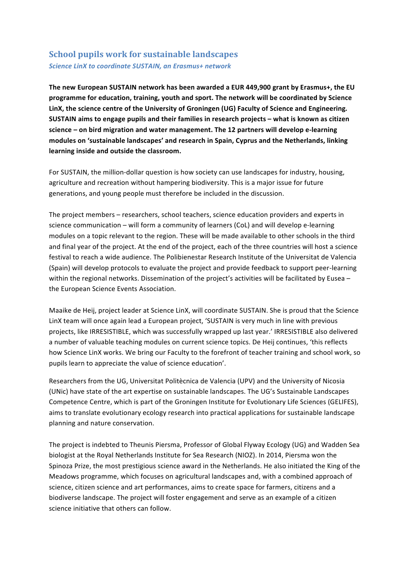## **School pupils work for sustainable landscapes** *Science LinX to coordinate SUSTAIN, an Erasmus+ network*

The new European SUSTAIN network has been awarded a EUR 449,900 grant by Erasmus+, the EU programme for education, training, youth and sport. The network will be coordinated by Science LinX, the science centre of the University of Groningen (UG) Faculty of Science and Engineering. **SUSTAIN** aims to engage pupils and their families in research projects – what is known as citizen science – on bird migration and water management. The 12 partners will develop e-learning modules on 'sustainable landscapes' and research in Spain, Cyprus and the Netherlands, linking **learning inside and outside the classroom.**

For SUSTAIN, the million-dollar question is how society can use landscapes for industry, housing, agriculture and recreation without hampering biodiversity. This is a major issue for future generations, and young people must therefore be included in the discussion.

The project members – researchers, school teachers, science education providers and experts in science communication – will form a community of learners (CoL) and will develop e-learning modules on a topic relevant to the region. These will be made available to other schools in the third and final year of the project. At the end of the project, each of the three countries will host a science festival to reach a wide audience. The Polibienestar Research Institute of the Universitat de Valencia (Spain) will develop protocols to evaluate the project and provide feedback to support peer-learning within the regional networks. Dissemination of the project's activities will be facilitated by Eusea the European Science Events Association.

Maaike de Heij, project leader at Science LinX, will coordinate SUSTAIN. She is proud that the Science LinX team will once again lead a European project, 'SUSTAIN is very much in line with previous projects, like IRRESISTIBLE, which was successfully wrapped up last year.' IRRESISTIBLE also delivered a number of valuable teaching modules on current science topics. De Heij continues, 'this reflects how Science LinX works. We bring our Faculty to the forefront of teacher training and school work, so pupils learn to appreciate the value of science education'.

Researchers from the UG, Universitat Politècnica de Valencia (UPV) and the University of Nicosia (UNic) have state of the art expertise on sustainable landscapes. The UG's Sustainable Landscapes Competence Centre, which is part of the Groningen Institute for Evolutionary Life Sciences (GELIFES), aims to translate evolutionary ecology research into practical applications for sustainable landscape planning and nature conservation.

The project is indebted to Theunis Piersma, Professor of Global Flyway Ecology (UG) and Wadden Sea biologist at the Royal Netherlands Institute for Sea Research (NIOZ). In 2014, Piersma won the Spinoza Prize, the most prestigious science award in the Netherlands. He also initiated the King of the Meadows programme, which focuses on agricultural landscapes and, with a combined approach of science, citizen science and art performances, aims to create space for farmers, citizens and a biodiverse landscape. The project will foster engagement and serve as an example of a citizen science initiative that others can follow.